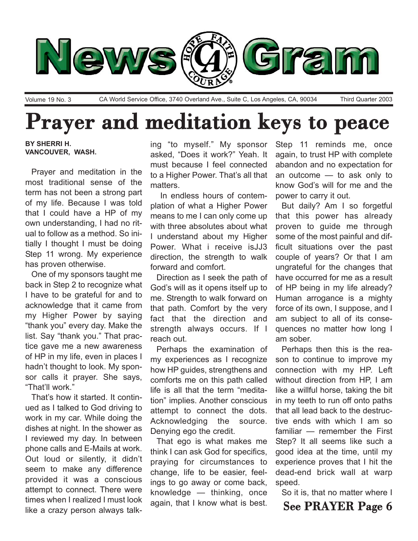

Volume 19 No. 3 CA World Service Office, 3740 Overland Ave., Suite C, Los Angeles, CA, 90034 Third Quarter 2003

# Prayer and meditation keys to peace

**BY SHERRI H. VANCOUVER, WASH.**

Prayer and meditation in the most traditional sense of the term has not been a strong part of my life. Because I was told that I could have a HP of my own understanding, I had no ritual to follow as a method. So initially I thought I must be doing Step 11 wrong. My experience has proven otherwise.

One of my sponsors taught me back in Step 2 to recognize what I have to be grateful for and to acknowledge that it came from my Higher Power by saying "thank you" every day. Make the list. Say "thank you." That practice gave me a new awareness of HP in my life, even in places I hadn't thought to look. My sponsor calls it prayer. She says, "That'll work."

That's how it started. It continued as I talked to God driving to work in my car. While doing the dishes at night. In the shower as I reviewed my day. In between phone calls and E-Mails at work. Out loud or silently, it didn't seem to make any difference provided it was a conscious attempt to connect. There were times when I realized I must look like a crazy person always talking "to myself." My sponsor asked, "Does it work?" Yeah. It must because I feel connected to a Higher Power. That's all that matters.

In endless hours of contemplation of what a Higher Power means to me I can only come up with three absolutes about what I understand about my Higher Power. What i receive isJJ3 direction, the strength to walk forward and comfort.

Direction as I seek the path of God's will as it opens itself up to me. Strength to walk forward on that path. Comfort by the very fact that the direction and strength always occurs. If I reach out.

Perhaps the examination of my experiences as I recognize how HP guides, strengthens and comforts me on this path called life is all that the term "meditation<sup>"</sup> implies. Another conscious attempt to connect the dots. Acknowledging the source. Denying ego the credit.

That ego is what makes me think I can ask God for specifics, praying for circumstances to change, life to be easier, feelings to go away or come back, knowledge  $-$  thinking, once again, that I know what is best.

Step 11 reminds me, once again, to trust HP with complete abandon and no expectation for an outcome  $-$  to ask only to know God's will for me and the power to carry it out.

But daily? Am I so forgetful that this power has already proven to guide me through some of the most painful and difficult situations over the past couple of years? Or that I am ungrateful for the changes that have occurred for me as a result of HP being in my life already? Human arrogance is a mighty force of its own, I suppose, and I am subject to all of its consequences no matter how long I am sober.

Perhaps then this is the reason to continue to improve my connection with my HP. Left without direction from HP, I am like a willful horse, taking the bit in my teeth to run off onto paths that all lead back to the destructive ends with which I am so familiar – remember the First Step? It all seems like such a good idea at the time, until my experience proves that I hit the dead-end brick wall at warp speed.

So it is, that no matter where I

## See PRAYER Page 6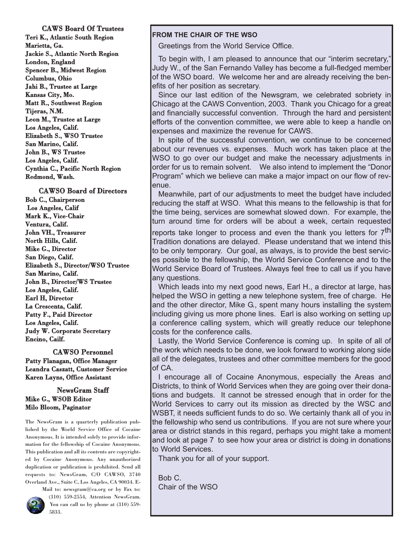CAWS Board Of Trustees Teri K., Atlantic South Region Marietta, Ga. Jackie S., Atlantic North Region London, England Spencer B., Midwest Region Columbus, Ohio Jahi B., Trustee at Large Kansas City, Mo. Matt R., Southwest Region Tijeras, N.M. Leon M., Trustee at Large Los Angeles, Calif. Elizabeth S., WSO Trustee San Marino, Calif. John B., WS Trustee Los Angeles, Calif. Cynthia C., Pacific North Region Redmond, Wash.

CAWSO Board of Directors Bob C., Chairperson Los Angeles, Calif Mark K., Vice-Chair Ventura, Calif. John VH., Treasurer North Hills, Calif. Mike G., Director San Diego, Calif. Elizabeth S., Director/WSO Trustee San Marino, Calif. John B., Director/WS Trustee Los Angeles, Calif. Earl H, Director La Crescenta, Calif. Patty F., Paid Director Los Angeles, Calif. Judy W. Corporate Secretary Encino, Cailf.

CAWSO Personnel Patty Flanagan, Office Manager Leandra Caszatt, Customer Service Karen Layns, Office Assistant

#### NewsGram Staff Mike G., WSOB Editor Milo Bloom, Paginator

The NewsGram is a quarterly publication published by the World Service Office of Cocaine Anonymous. It is intended solely to provide information for the fellowship of Cocaine Anonymous. This publication and all its contents are copyrighted by Cocaine Anonymous. Any unauthorized duplication or publication is prohibited. Send all requests to: NewsGram, C/O CAWSO, 3740 Overland Ave., Suite C, Los Angeles, CA 90034. E-



Mail to: newsgram@ca.org or by Fax to: (310) 559-2554, Attention NewsGram. You can call us by phone at (310) 559- 5833.

#### **FROM THE CHAIR OF THE WSO**

Greetings from the World Service Office.

To begin with, I am pleased to announce that our "interim secretary," Judy W., of the San Fernando Valley has become a full-fledged member of the WSO board. We welcome her and are already receiving the benefits of her position as secretary.

Since our last edition of the Newsgram, we celebrated sobriety in Chicago at the CAWS Convention, 2003. Thank you Chicago for a great and financially successful convention. Through the hard and persistent efforts of the convention committee, we were able to keep a handle on expenses and maximize the revenue for CAWS.

In spite of the successful convention, we continue to be concerned about our revenues vs. expenses. Much work has taken place at the WSO to go over our budget and make the necessary adjustments in order for us to remain solvent. We also intend to implement the "Donor Program" which we believe can make a major impact on our flow of revenue.

Meanwhile, part of our adjustments to meet the budget have included reducing the staff at WSO. What this means to the fellowship is that for the time being, services are somewhat slowed down. For example, the turn around time for orders will be about a week, certain requested

reports take longer to process and even the thank you letters for 7<sup>th</sup> Tradition donations are delayed. Please understand that we intend this to be only temporary. Our goal, as always, is to provide the best services possible to the fellowship, the World Service Conference and to the World Service Board of Trustees. Always feel free to call us if you have any questions.

Which leads into my next good news, Earl H., a director at large, has helped the WSO in getting a new telephone system, free of charge. He and the other director, Mike G., spent many hours installing the system including giving us more phone lines. Earl is also working on setting up a conference calling system, which will greatly reduce our telephone costs for the conference calls.

Lastly, the World Service Conference is coming up. In spite of all of the work which needs to be done, we look forward to working along side all of the delegates, trustees and other committee members for the good of CA.

I encourage all of Cocaine Anonymous, especially the Areas and Districts, to think of World Services when they are going over their donations and budgets. It cannot be stressed enough that in order for the World Services to carry out its mission as directed by the WSC and WSBT, it needs sufficient funds to do so. We certainly thank all of you in the fellowship who send us contributions. If you are not sure where your area or district stands in this regard, perhaps you might take a moment and look at page 7 to see how your area or district is doing in donations to World Services.

Thank you for all of your support.

Bob C. Chair of the WSO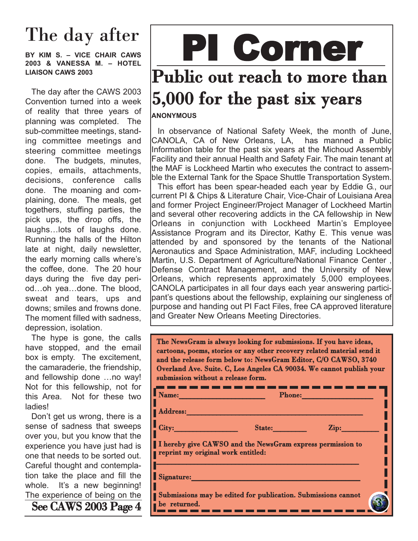## The day after

BY KIM S. - VICE CHAIR CAWS **2003 & VANESSA M. - HOTEL LIAISON CAWS 2003**

The day after the CAWS 2003 Convention turned into a week of reality that three years of planning was completed. The sub-committee meetings, standing committee meetings and steering committee meetings done. The budgets, minutes, copies, emails, attachments, decisions, conference calls done. The moaning and complaining, done. The meals, get togethers, stuffing parties, the pick ups, the drop offs, the laughs... lots of laughs done. Running the halls of the Hilton late at night, daily newsletter, the early morning calls where's the coffee, done. The 20 hour days during the five day period...oh yea...done. The blood, sweat and tears, ups and downs; smiles and frowns done. The moment filled with sadness, depression, isolation.

The hype is gone, the calls have stopped, and the email box is empty. The excitement, the camaraderie, the friendship, and fellowship done ...no way! Not for this fellowship, not for this Area. Not for these two ladies!

Don't get us wrong, there is a sense of sadness that sweeps over you, but you know that the experience you have just had is one that needs to be sorted out. Careful thought and contemplation take the place and fill the whole. It's a new beginning! The experience of being on the See CAWS 2003 Page 4

# PI Corner Public out reach to more than 5,000 for the past six years

#### **ANONYMOUS**

In observance of National Safety Week, the month of June, CANOLA, CA of New Orleans, LA, has manned a Public Information table for the past six years at the Michoud Assembly Facility and their annual Health and Safety Fair. The main tenant at the MAF is Lockheed Martin who executes the contract to assemble the External Tank for the Space Shuttle Transportation System.

This effort has been spear-headed each year by Eddie G., our current PI & Chips & Literature Chair, Vice-Chair of Louisiana Area and former Project Engineer/Project Manager of Lockheed Martin and several other recovering addicts in the CA fellowship in New Orleans in conjunction with Lockheed Martinís Employee Assistance Program and its Director, Kathy E. This venue was attended by and sponsored by the tenants of the National Aeronautics and Space Administration, MAF, including Lockheed Martin, U.S. Department of Agriculture/National Finance Center Defense Contract Management, and the University of New Orleans, which represents approximately 5,000 employees. CANOLA participates in all four days each year answering participant's questions about the fellowship, explaining our singleness of purpose and handing out PI Fact Files, free CA approved literature and Greater New Orleans Meeting Directories.

The NewsGram is always looking for submissions. If you have ideas, cartoons, poems, stories or any other recovery related material send it and the release form below to: NewsGram Editor, C/O CAWSO, 3740 Overland Ave. Suite. C, Los Angeles CA 90034. We cannot publish your submission without a release form.

| Name:                              | <b>Phone:</b>                                                 |                  |
|------------------------------------|---------------------------------------------------------------|------------------|
| Address:                           |                                                               |                  |
| City:                              | State:                                                        | $\mathbf{Zip: }$ |
| reprint my original work entitled: | I hereby give CAWSO and the NewsGram express permission to    |                  |
| Signature:                         |                                                               |                  |
| be returned.                       | Submissions may be edited for publication. Submissions cannot |                  |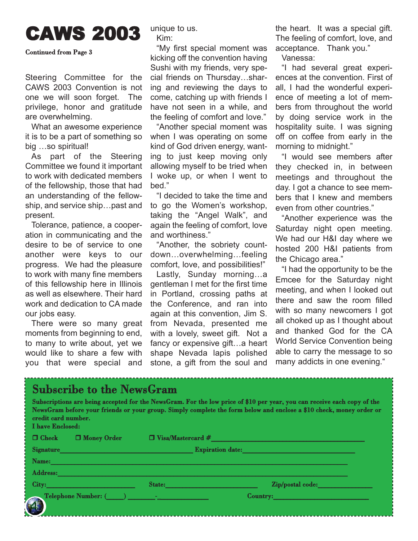## CAWS 2003

#### Continued from Page 3

Steering Committee for the CAWS 2003 Convention is not one we will soon forget. The privilege, honor and gratitude are overwhelming.

What an awesome experience it is to be a part of something so big ...so spiritual!

As part of the Steering Committee we found it important to work with dedicated members of the fellowship, those that had an understanding of the fellowship, and service ship...past and present.

Tolerance, patience, a cooperation in communicating and the desire to be of service to one another were keys to our progress. We had the pleasure to work with many fine members of this fellowship here in Illinois as well as elsewhere. Their hard work and dedication to CA made our jobs easy.

There were so many great moments from beginning to end, to many to write about, yet we would like to share a few with you that were special and unique to us. Kim:

ìMy first special moment was kicking off the convention having Sushi with my friends, very special friends on Thursday...sharing and reviewing the days to come, catching up with friends I have not seen in a while, and the feeling of comfort and love."

"Another special moment was when I was operating on some kind of God driven energy, wanting to just keep moving only allowing myself to be tried when I woke up, or when I went to hed."

"I decided to take the time and to go the Women's workshop, taking the "Angel Walk", and again the feeling of comfort, love and worthiness."

"Another, the sobriety countdown...overwhelming...feeling comfort, love, and possibilities!"

Lastly, Sunday morning...a gentleman I met for the first time in Portland, crossing paths at the Conference, and ran into again at this convention, Jim S. from Nevada, presented me with a lovely, sweet gift. Not a fancy or expensive gift...a heart shape Nevada lapis polished stone, a gift from the soul and

the heart. It was a special gift. The feeling of comfort, love, and acceptance. Thank you."

Vanessa:

"I had several great experiences at the convention. First of all, I had the wonderful experience of meeting a lot of members from throughout the world by doing service work in the hospitality suite. I was signing off on coffee from early in the morning to midnight."

"I would see members after they checked in, in between meetings and throughout the day. I got a chance to see members that I knew and members even from other countries."

"Another experience was the Saturday night open meeting. We had our H&I day where we hosted 200 H&I patients from the Chicago area."

"I had the opportunity to be the Emcee for the Saturday night meeting, and when I looked out there and saw the room filled with so many newcomers I got all choked up as I thought about and thanked God for the CA World Service Convention being able to carry the message to so many addicts in one evening."

#### Subscribe to the NewsGram

Subscriptions are being accepted for the NewsGram. For the low price of \$10 per year, you can receive each copy of the NewsGram before your friends or your group. Simply complete the form below and enclose a \$10 check, money order or credit card number. I have Enclosed:  $\Box$  Check  $\Box$  Money Order  $\Box$  Visa/Mastercard # Signature\_\_\_\_\_\_\_\_\_\_\_\_\_\_\_\_\_\_\_\_\_\_\_\_\_\_\_\_\_\_\_\_\_\_\_\_\_\_\_ Expiration date:\_\_\_\_\_\_\_\_\_\_\_\_\_\_\_\_\_\_\_\_\_\_\_\_\_\_\_\_\_\_\_\_\_  $\bf Name: \ \_\_\_\_\_\_\_\_$  $\operatorname{Address:}\nolimits\hspace{-.03in} \ldots$ City:\_\_\_\_\_\_\_\_\_\_\_\_\_\_\_\_\_\_\_\_\_\_\_\_\_\_ State:\_\_\_\_\_\_\_\_\_\_\_\_\_\_\_\_\_\_\_\_\_\_\_\_\_\_\_ Zip/postal code:\_\_\_\_\_\_\_\_\_\_\_\_\_\_\_\_ Telephone Number: (\_\_\_\_\_) \_\_\_\_\_\_\_\_-\_\_\_\_\_\_\_\_\_\_\_\_\_\_\_ Country:\_\_\_\_\_\_\_\_\_\_\_\_\_\_\_\_\_\_\_\_\_\_\_\_\_\_\_\_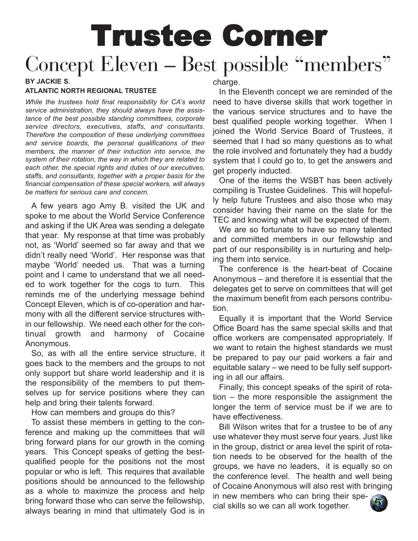# Trustee Corner Concept Eleven – Best possible "members"

#### **BY JACKIE S. ATLANTIC NORTH REGIONAL TRUSTEE**

*While the trustees hold final responsibility for CAís world service administration, they should always have the assistance of the best possible standing committees, corporate service directors, executives, staffs, and consultants. Therefore the composition of these underlying committees and service boards, the personal qualifications of their members, the manner of their induction into service, the system of their rotation, the way in which they are related to each other, the special rights and duties of our executives, staffs, and consultants, together with a proper basis for the financial compensation of these special workers, will always be matters for serious care and concern.*

A few years ago Amy B. visited the UK and spoke to me about the World Service Conference and asking if the UK Area was sending a delegate that year. My response at that time was probably not, as 'World' seemed so far away and that we didn't really need 'World'. Her response was that maybe 'World' needed us. That was a turning point and I came to understand that we all needed to work together for the cogs to turn. This reminds me of the underlying message behind Concept Eleven, which is of co-operation and harmony with all the different service structures within our fellowship. We need each other for the continual growth and harmony of Cocaine Anonymous.

So, as with all the entire service structure, it goes back to the members and the groups to not only support but share world leadership and it is the responsibility of the members to put themselves up for service positions where they can help and bring their talents forward.

How can members and groups do this?

To assist these members in getting to the conference and making up the committees that will bring forward plans for our growth in the coming years. This Concept speaks of getting the bestqualified people for the positions not the most popular or who is left. This requires that available positions should be announced to the fellowship as a whole to maximize the process and help bring forward those who can serve the fellowship, always bearing in mind that ultimately God is in

charge.

In the Eleventh concept we are reminded of the need to have diverse skills that work together in the various service structures and to have the best qualified people working together. When I joined the World Service Board of Trustees, it seemed that I had so many questions as to what the role involved and fortunately they had a buddy system that I could go to, to get the answers and get properly inducted.

One of the items the WSBT has been actively compiling is Trustee Guidelines. This will hopefully help future Trustees and also those who may consider having their name on the slate for the TEC and knowing what will be expected of them.

We are so fortunate to have so many talented and committed members in our fellowship and part of our responsibility is in nurturing and helping them into service.

The conference is the heart-beat of Cocaine Anonymous – and therefore it is essential that the delegates get to serve on committees that will get the maximum benefit from each persons contribution.

Equally it is important that the World Service Office Board has the same special skills and that office workers are compensated appropriately. If we want to retain the highest standards we must be prepared to pay our paid workers a fair and equitable salary  $-$  we need to be fully self supporting in all our affairs.

Finally, this concept speaks of the spirit of rota $tion - the more responsible the assignment the$ longer the term of service must be if we are to have effectiveness.

Bill Wilson writes that for a trustee to be of any use whatever they must serve four years. Just like in the group, district or area level the spirit of rotation needs to be observed for the health of the groups, we have no leaders, it is equally so on the conference level. The health and well being of Cocaine Anonymous will also rest with bringing in new members who can bring their special skills so we can all work together.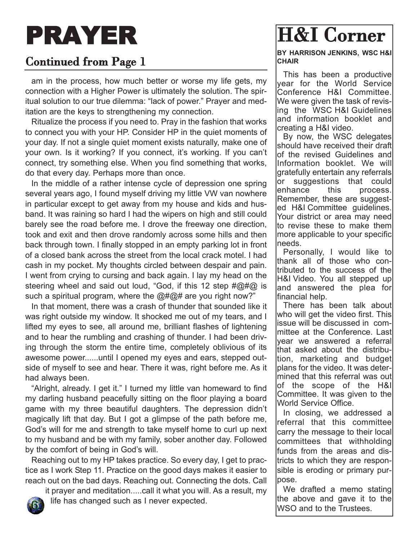# PRAYER

## Continued from Page 1

am in the process, how much better or worse my life gets, my connection with a Higher Power is ultimately the solution. The spiritual solution to our true dilemma: "lack of power." Prayer and meditation are the keys to strengthening my connection.

Ritualize the process if you need to. Pray in the fashion that works to connect you with your HP. Consider HP in the quiet moments of your day. If not a single quiet moment exists naturally, make one of your own. Is it working? If you connect, it's working. If you can't connect, try something else. When you find something that works, do that every day. Perhaps more than once.

In the middle of a rather intense cycle of depression one spring several years ago, I found myself driving my little VW van nowhere in particular except to get away from my house and kids and husband. It was raining so hard I had the wipers on high and still could barely see the road before me. I drove the freeway one direction, took and exit and then drove randomly across some hills and then back through town. I finally stopped in an empty parking lot in front of a closed bank across the street from the local crack motel. I had cash in my pocket. My thoughts circled between despair and pain. I went from crying to cursing and back again. I lay my head on the steering wheel and said out loud, "God, if this 12 step  $\#\textcircled{2}\# \textcircled{2}$  is such a spiritual program, where the  $@#@#$  are you right now?"

In that moment, there was a crash of thunder that sounded like it was right outside my window. It shocked me out of my tears, and I lifted my eyes to see, all around me, brilliant flashes of lightening and to hear the rumbling and crashing of thunder. I had been driving through the storm the entire time, completely oblivious of its awesome power......until I opened my eyes and ears, stepped outside of myself to see and hear. There it was, right before me. As it had always been.

"Alright, already. I get it." I turned my little van homeward to find my darling husband peacefully sitting on the floor playing a board game with my three beautiful daughters. The depression didn't magically lift that day. But I got a glimpse of the path before me, God's will for me and strength to take myself home to curl up next to my husband and be with my family, sober another day. Followed by the comfort of being in God's will.

Reaching out to my HP takes practice. So every day, I get to practice as I work Step 11. Practice on the good days makes it easier to reach out on the bad days. Reaching out. Connecting the dots. Call

it prayer and meditation.....call it what you will. As a result, my life has changed such as I never expected.

### H&I Corner **BY HARRISON JENKINS, WSC H&I CHAIR**

This has been a productive year for the World Service Conference H&I Committee. We were given the task of revising the WSC H&I Guidelines and information booklet and creating a H&I video.

By now, the WSC delegates should have received their draft of the revised Guidelines and Information booklet. We will gratefully entertain any referrals or suggestions that could enhance this process. Remember, these are suggested H&I Committee guidelines. Your district or area may need to revise these to make them more applicable to your specific needs.

Personally, I would like to thank all of those who contributed to the success of the H&I Video. You all stepped up and answered the plea for financial help.

There has been talk about who will get the video first. This issue will be discussed in committee at the Conference. Last year we answered a referral that asked about the distribution, marketing and budget plans for the video. It was determined that this referral was out of the scope of the H&I Committee. It was given to the World Service Office.

In closing, we addressed a referral that this committee carry the message to their local committees that withholding funds from the areas and districts to which they are responsible is eroding or primary purpose.

We drafted a memo stating the above and gave it to the WSO and to the Trustees.

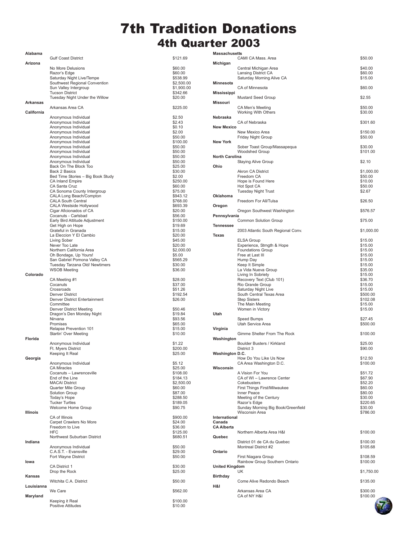## 7th Tradition Donations 4th Quarter 2003

**Massachusetts**

| Alabama         | <b>Gulf Coast District</b>                                     | \$121.69                 |
|-----------------|----------------------------------------------------------------|--------------------------|
| Arizona         |                                                                |                          |
|                 | No More Delusions<br>Razor's Edge                              | \$60.00<br>\$60.00       |
|                 | Saturday Night Live/Tempe<br>Southwest Regional Convention     | \$538.99                 |
|                 | Sun Valley Intergroup                                          | \$2,500.00<br>\$1,900.00 |
|                 | <b>Tucson District</b><br>Tuesday Night Under the Willow       | \$342.66                 |
| Arkansas        |                                                                | \$20.00                  |
| California      | Arkansas Area CA                                               | \$225.00                 |
|                 | Anonymous Individual                                           | \$2.50                   |
|                 | Anonymous Individual                                           | \$2.43                   |
|                 | Anonymous Individual<br>Anonymous Individual                   | \$0.10<br>\$2.00         |
|                 | Anonymous Individual                                           | \$50.00                  |
|                 | Anonymous Individual<br>Anonymous Individual                   | \$100.00<br>\$50.00      |
|                 | Anonymous Individual                                           | \$50.00                  |
|                 | Anonymous Individual<br>Anonymous Individual                   | \$50.00<br>\$50.00       |
|                 | Back On The Block Too                                          | \$25.00                  |
|                 | Back 2 Basics<br>Bed Time Stories - Big Book Study             | \$30.00<br>\$2.00        |
|                 | <b>CA Inland Empire</b>                                        | \$250.00                 |
|                 | CA Santa Cruz<br>CA Sonoma County Intergroup                   | \$60.00<br>\$75.00       |
|                 | CALA Long Beach/Compton                                        | \$943.12                 |
|                 | <b>CALA South Central</b><br>CALA Westside Hollywood           | \$768.00<br>\$693.39     |
|                 | Cigar Aficionados of CA                                        | \$20.00                  |
|                 | Cocanuts - Carlsbad<br>Early Bird Attitude Adjustment          | \$56.00<br>\$150.00      |
|                 | Get High on Hope                                               | \$19.69                  |
|                 | Grateful in Granada<br>La Eleccion Y El Cambio                 | \$15.00<br>\$20.00       |
|                 | Living Sober                                                   | \$45.00                  |
|                 | Never Too Late<br>Northern California Area                     | \$20.00<br>\$2,000.00    |
|                 | Oh Bondage, Up Yours!                                          | \$5.00                   |
|                 | San Gabriel Pomona Valley CA<br>Tuesday Tarzana Old/ Newtimers | \$565.29<br>\$30.00      |
|                 | <b>WSOB Meeting</b>                                            | \$36.00                  |
| Colorado        | CA Meeting #1                                                  | \$28.00                  |
|                 | Cocanuts                                                       | \$37.00                  |
|                 | Crossroads<br>Denver District                                  | \$51.26<br>\$192.54      |
|                 | Denver District Entertainment                                  | \$26.00                  |
|                 | Committee<br><b>Denver District Meeting</b>                    | \$50.46                  |
|                 | Dragon's Den Monday Night<br>Nirvana                           | \$19.84                  |
|                 | Promises                                                       | \$93.56<br>\$65.00       |
|                 | Relapse Prevention 101                                         | \$15.00<br>\$10.00       |
| <b>Florida</b>  | Startin' Over Meeting                                          |                          |
|                 | Anonymous Individual<br>Ft. Myers District                     | \$1.22<br>\$200.00       |
|                 | Keeping It Real                                                | \$25.00                  |
| Georgia         | Anonymous Individual                                           | \$5.12                   |
|                 | <b>CA Miracles</b>                                             | \$25.00                  |
|                 | Cocanuts - Lawrenceville<br>End of the Line                    | \$108.00<br>\$184.13     |
|                 | <b>MACAI District</b>                                          | \$2,500.00               |
|                 | Quarter Mile Group<br>Solution Group                           | \$60.00<br>\$87.00       |
|                 | Today's Hope                                                   | \$288.50                 |
|                 | <b>Tucker Turtles</b><br>Welcome Home Group                    | \$189.05<br>\$90.75      |
| <b>Illinois</b> | CA of Illinois                                                 | \$900.00                 |
|                 | Carpet Crawlers No More                                        | \$24.00                  |
|                 | Freedom to Live<br><b>HFC</b>                                  | \$36.00<br>\$125.00      |
|                 | Northwest Suburban District                                    | \$680.51                 |
| Indiana         | Anonymous Individual                                           | \$50.00                  |
|                 | C.A.S.T. - Evansville                                          | \$29.00                  |
| lowa            | Fort Wayne District                                            | \$50.00                  |
|                 | CA District 1                                                  | \$30.00                  |
| Kansas          | Drop the Rock                                                  | \$25.00                  |
|                 | Witchita C.A. District                                         | \$50.00                  |
| Louisianna      | We Care                                                        | \$562.00                 |
| Maryland        |                                                                |                          |
|                 | Keeping it Real<br>Positive Attitudes                          | \$100.00<br>\$10.00      |

| massachusetts                                | CAMI CA Mass. Area                                                                                                                                                                                                                                                                                                                                                               | \$50.00                                                                                                                                                                                    |
|----------------------------------------------|----------------------------------------------------------------------------------------------------------------------------------------------------------------------------------------------------------------------------------------------------------------------------------------------------------------------------------------------------------------------------------|--------------------------------------------------------------------------------------------------------------------------------------------------------------------------------------------|
| Michigan                                     |                                                                                                                                                                                                                                                                                                                                                                                  |                                                                                                                                                                                            |
|                                              | Central Michigan Area<br>Lansing District CA<br>Saturday Morning Alive CA                                                                                                                                                                                                                                                                                                        | \$40.00<br>\$60.00<br>\$15.00                                                                                                                                                              |
| Minnesota                                    | CA of Minnesota                                                                                                                                                                                                                                                                                                                                                                  | \$60.00                                                                                                                                                                                    |
| Mississippi                                  | <b>Mustard Seed Group</b>                                                                                                                                                                                                                                                                                                                                                        | \$2.55                                                                                                                                                                                     |
| Missouri                                     | CA Men's Meeting                                                                                                                                                                                                                                                                                                                                                                 | \$50.00                                                                                                                                                                                    |
| Nebraska                                     | Working With Others                                                                                                                                                                                                                                                                                                                                                              | \$30.00                                                                                                                                                                                    |
| <b>New Mexico</b>                            | CA of Nebraska                                                                                                                                                                                                                                                                                                                                                                   | \$301.60                                                                                                                                                                                   |
|                                              | New Mexico Area<br>Friday Night Group                                                                                                                                                                                                                                                                                                                                            | \$150.00<br>\$50.00                                                                                                                                                                        |
| <b>New York</b>                              | Sober Toast Group/Massapequa<br>Woodshed Group                                                                                                                                                                                                                                                                                                                                   | \$30.00<br>\$101.00                                                                                                                                                                        |
| <b>North Carolina</b>                        | <b>Staying Alive Group</b>                                                                                                                                                                                                                                                                                                                                                       | \$2.10                                                                                                                                                                                     |
| Ohio                                         |                                                                                                                                                                                                                                                                                                                                                                                  |                                                                                                                                                                                            |
|                                              | Akron CA District<br>Freedom CA<br>Hope is Found Here<br>Hot Spot CA<br>Tuesday Night Trust                                                                                                                                                                                                                                                                                      | \$1,000.00<br>\$50.00<br>\$10.00<br>\$50.00<br>\$2.67                                                                                                                                      |
| Oklahoma                                     | Freedom For All/Tulsa                                                                                                                                                                                                                                                                                                                                                            | \$26.50                                                                                                                                                                                    |
| Oregon                                       | Oregon Southwest Washington                                                                                                                                                                                                                                                                                                                                                      | \$576.57                                                                                                                                                                                   |
| Pennsylvania                                 | <b>Common Solution Group</b>                                                                                                                                                                                                                                                                                                                                                     | \$75.00                                                                                                                                                                                    |
| <b>Tennessee</b>                             | 2003 Atlantic South Regional Conv.                                                                                                                                                                                                                                                                                                                                               |                                                                                                                                                                                            |
| Texas                                        |                                                                                                                                                                                                                                                                                                                                                                                  | \$1,000.00                                                                                                                                                                                 |
| Utah<br>Virginia                             | <b>ELSA Group</b><br>Experience, Strngth & Hope<br><b>Foundations Group</b><br>Free at Last III<br>Hump Day<br>Keep It Simple<br>La Vida Nueva Group<br>Living In Sobriety<br>Recovery Text (Club 101)<br>Rio Grande Group<br>Saturday Night Live<br>South Central Texas Area<br><b>Step Sisters</b><br>The Main Meeting<br>Women in Victory<br>Speed Bumps<br>Utah Service Area | \$15.00<br>\$15.00<br>\$15.00<br>\$15.00<br>\$15.00<br>\$15.00<br>\$35.00<br>\$15.00<br>\$36.70<br>\$15.00<br>\$15.00<br>\$500.00<br>\$102.08<br>\$15.00<br>\$15.00<br>\$27.45<br>\$500.00 |
|                                              | Gimme Shelter From The Rock                                                                                                                                                                                                                                                                                                                                                      | \$100.00                                                                                                                                                                                   |
| Washington<br>Washington D.C.                | Boulder Busters / Kirkland<br>District 3                                                                                                                                                                                                                                                                                                                                         | \$25.00<br>\$90.00                                                                                                                                                                         |
|                                              | How Do You Like Us Now                                                                                                                                                                                                                                                                                                                                                           | \$12.50                                                                                                                                                                                    |
| Wisconsin                                    | CA Area Washington D.C.<br>A Vision For You<br>CA of WI - Lawrence Center<br>Cokebusters<br><b>First Things First/Milwaukee</b><br>Inner Peace<br>Meeting of the Century<br>Razor's Edge<br>Sunday Morning Big Book/Greenfield<br>Wisconsin Area                                                                                                                                 | \$100.00<br>\$51.72<br>\$67.90<br>\$52.20<br>\$60.00<br>\$80.00<br>\$30.00<br>\$220.65<br>\$30.00<br>\$786.00                                                                              |
| International<br>Canada<br><b>CA Alberta</b> |                                                                                                                                                                                                                                                                                                                                                                                  |                                                                                                                                                                                            |
| Quebec                                       | Northern Alberta Area H&I                                                                                                                                                                                                                                                                                                                                                        | \$100.00                                                                                                                                                                                   |
| Ontario                                      | District 01 de CA du Quebec<br>Montreal District #2                                                                                                                                                                                                                                                                                                                              | \$100.00<br>\$105.68                                                                                                                                                                       |
| <b>United Kingdom</b>                        | First Niagara Group<br>Rainbow Group Southern Ontario                                                                                                                                                                                                                                                                                                                            | \$108.59<br>\$100.00                                                                                                                                                                       |
|                                              | UK                                                                                                                                                                                                                                                                                                                                                                               | \$1,750.00                                                                                                                                                                                 |
| <b>Birthday</b><br>H&I                       | Come Alive Redondo Beach                                                                                                                                                                                                                                                                                                                                                         | \$135.00                                                                                                                                                                                   |
|                                              | Arkansas Area CA<br>CA of NY H&I                                                                                                                                                                                                                                                                                                                                                 | \$300.00<br>\$100.00                                                                                                                                                                       |